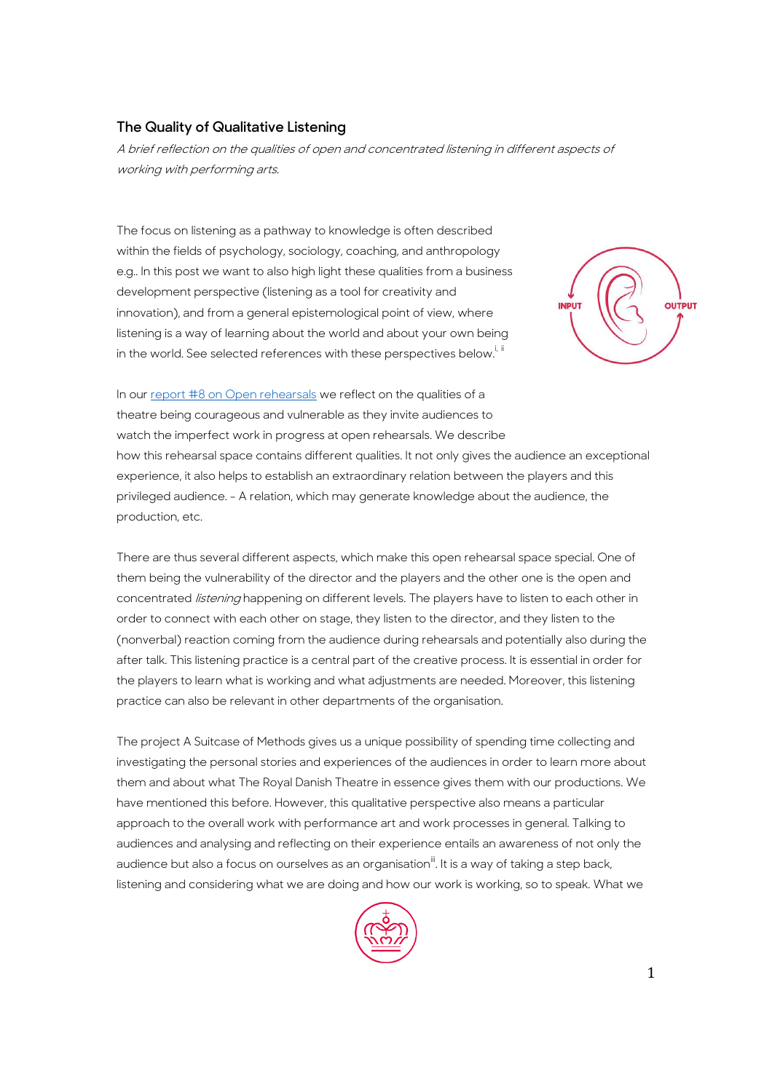## **The Quality of Qualitative Listening**

A brief reflection on the qualities of open and concentrated listening in different aspects of working with performing arts.

The focus on listening as a pathway to knowledge is often described within the fields of psychology, sociology, coaching, and anthropology e.g.. In this post we want to also high light these qualities from a business development perspective (listening as a tool for creativity and innovation), and from a general epistemological point of view, where listening is a way of learning about the world and about your own being in the world. See selected references with these perspectives below. $^{\text{i}, \text{ii}}$ 



In our [report #8 on Open rehearsals](https://asuitcaseofmethods.files.wordpress.com/2017/02/report8-open-rehearsals.pdf) we reflect on the qualities of a theatre being courageous and vulnerable as they invite audiences to watch the imperfect work in progress at open rehearsals. We describe how this rehearsal space contains different qualities. It not only gives the audience an exceptional experience, it also helps to establish an extraordinary relation between the players and this privileged audience. - A relation, which may generate knowledge about the audience, the production, etc.

There are thus several different aspects, which make this open rehearsal space special. One of them being the vulnerability of the director and the players and the other one is the open and concentrated *listening* happening on different levels. The players have to listen to each other in order to connect with each other on stage, they listen to the director, and they listen to the (nonverbal) reaction coming from the audience during rehearsals and potentially also during the after talk. This listening practice is a central part of the creative process. It is essential in order for the players to learn what is working and what adjustments are needed. Moreover, this listening practice can also be relevant in other departments of the organisation.

The project A Suitcase of Methods gives us a unique possibility of spending time collecting and investigating the personal stories and experiences of the audiences in order to learn more about them and about what The Royal Danish Theatre in essence gives them with our productions. We have mentioned this before. However, this qualitative perspective also means a particular approach to the overall work with performance art and work processes in general. Talking to audiences and analysing and reflecting on their experience entails an awareness of not only the audience but also a focus on ourselves as an organisation<sup>ii</sup>. It is a way of taking a step back, listening and considering what we are doing and how our work is working, so to speak. What we